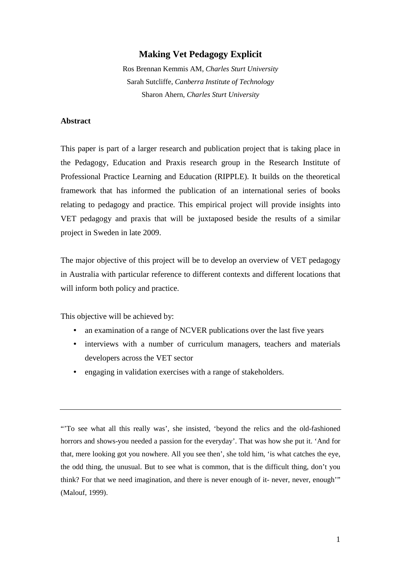# **Making Vet Pedagogy Explicit**

Ros Brennan Kemmis AM, *Charles Sturt University*  Sarah Sutcliffe, *Canberra Institute of Technology* Sharon Ahern, *Charles Sturt University*

#### **Abstract**

This paper is part of a larger research and publication project that is taking place in the Pedagogy, Education and Praxis research group in the Research Institute of Professional Practice Learning and Education (RIPPLE). It builds on the theoretical framework that has informed the publication of an international series of books relating to pedagogy and practice. This empirical project will provide insights into VET pedagogy and praxis that will be juxtaposed beside the results of a similar project in Sweden in late 2009.

The major objective of this project will be to develop an overview of VET pedagogy in Australia with particular reference to different contexts and different locations that will inform both policy and practice.

This objective will be achieved by:

- an examination of a range of NCVER publications over the last five years
- interviews with a number of curriculum managers, teachers and materials developers across the VET sector
- engaging in validation exercises with a range of stakeholders.

"'To see what all this really was', she insisted, 'beyond the relics and the old-fashioned horrors and shows-you needed a passion for the everyday'. That was how she put it. 'And for that, mere looking got you nowhere. All you see then', she told him, 'is what catches the eye, the odd thing, the unusual. But to see what is common, that is the difficult thing, don't you think? For that we need imagination, and there is never enough of it- never, never, enough'" (Malouf, 1999).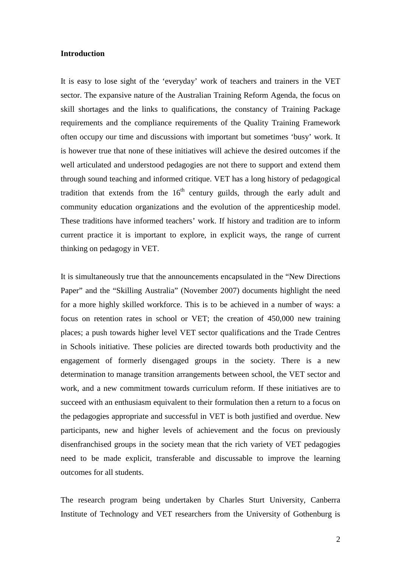#### **Introduction**

It is easy to lose sight of the 'everyday' work of teachers and trainers in the VET sector. The expansive nature of the Australian Training Reform Agenda, the focus on skill shortages and the links to qualifications, the constancy of Training Package requirements and the compliance requirements of the Quality Training Framework often occupy our time and discussions with important but sometimes 'busy' work. It is however true that none of these initiatives will achieve the desired outcomes if the well articulated and understood pedagogies are not there to support and extend them through sound teaching and informed critique. VET has a long history of pedagogical tradition that extends from the  $16<sup>th</sup>$  century guilds, through the early adult and community education organizations and the evolution of the apprenticeship model. These traditions have informed teachers' work. If history and tradition are to inform current practice it is important to explore, in explicit ways, the range of current thinking on pedagogy in VET.

It is simultaneously true that the announcements encapsulated in the "New Directions Paper" and the "Skilling Australia" (November 2007) documents highlight the need for a more highly skilled workforce. This is to be achieved in a number of ways: a focus on retention rates in school or VET; the creation of 450,000 new training places; a push towards higher level VET sector qualifications and the Trade Centres in Schools initiative. These policies are directed towards both productivity and the engagement of formerly disengaged groups in the society. There is a new determination to manage transition arrangements between school, the VET sector and work, and a new commitment towards curriculum reform. If these initiatives are to succeed with an enthusiasm equivalent to their formulation then a return to a focus on the pedagogies appropriate and successful in VET is both justified and overdue. New participants, new and higher levels of achievement and the focus on previously disenfranchised groups in the society mean that the rich variety of VET pedagogies need to be made explicit, transferable and discussable to improve the learning outcomes for all students.

The research program being undertaken by Charles Sturt University, Canberra Institute of Technology and VET researchers from the University of Gothenburg is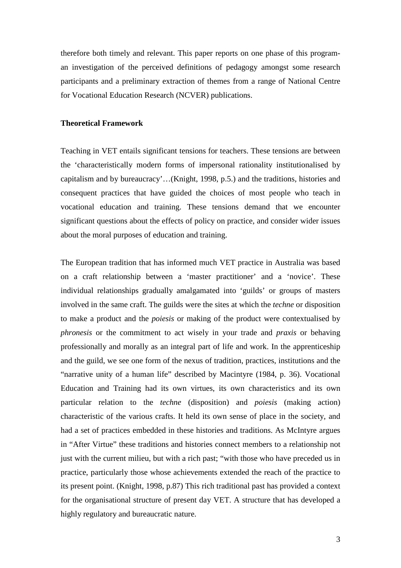therefore both timely and relevant. This paper reports on one phase of this programan investigation of the perceived definitions of pedagogy amongst some research participants and a preliminary extraction of themes from a range of National Centre for Vocational Education Research (NCVER) publications.

## **Theoretical Framework**

Teaching in VET entails significant tensions for teachers. These tensions are between the 'characteristically modern forms of impersonal rationality institutionalised by capitalism and by bureaucracy'…(Knight, 1998, p.5.) and the traditions, histories and consequent practices that have guided the choices of most people who teach in vocational education and training. These tensions demand that we encounter significant questions about the effects of policy on practice, and consider wider issues about the moral purposes of education and training.

The European tradition that has informed much VET practice in Australia was based on a craft relationship between a 'master practitioner' and a 'novice'. These individual relationships gradually amalgamated into 'guilds' or groups of masters involved in the same craft. The guilds were the sites at which the *techne* or disposition to make a product and the *poiesis* or making of the product were contextualised by *phronesis* or the commitment to act wisely in your trade and *praxis* or behaving professionally and morally as an integral part of life and work. In the apprenticeship and the guild, we see one form of the nexus of tradition, practices, institutions and the "narrative unity of a human life" described by Macintyre (1984, p. 36). Vocational Education and Training had its own virtues, its own characteristics and its own particular relation to the *techne* (disposition) and *poiesis* (making action) characteristic of the various crafts. It held its own sense of place in the society, and had a set of practices embedded in these histories and traditions. As McIntyre argues in "After Virtue" these traditions and histories connect members to a relationship not just with the current milieu, but with a rich past; "with those who have preceded us in practice, particularly those whose achievements extended the reach of the practice to its present point. (Knight, 1998, p.87) This rich traditional past has provided a context for the organisational structure of present day VET. A structure that has developed a highly regulatory and bureaucratic nature.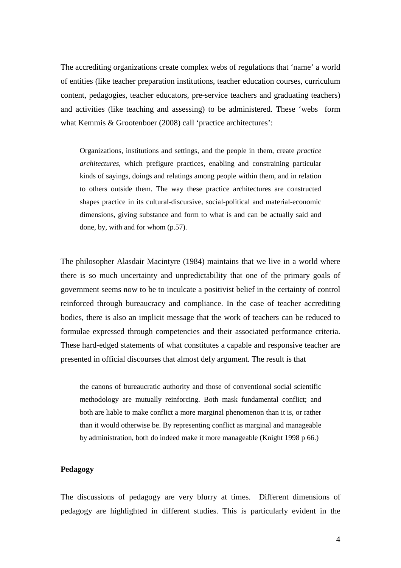The accrediting organizations create complex webs of regulations that 'name' a world of entities (like teacher preparation institutions, teacher education courses, curriculum content, pedagogies, teacher educators, pre-service teachers and graduating teachers) and activities (like teaching and assessing) to be administered. These 'webs form what Kemmis & Grootenboer (2008) call 'practice architectures':

Organizations, institutions and settings, and the people in them, create *practice architectures*, which prefigure practices, enabling and constraining particular kinds of sayings, doings and relatings among people within them, and in relation to others outside them. The way these practice architectures are constructed shapes practice in its cultural-discursive, social-political and material-economic dimensions, giving substance and form to what is and can be actually said and done, by, with and for whom (p.57).

The philosopher Alasdair Macintyre (1984) maintains that we live in a world where there is so much uncertainty and unpredictability that one of the primary goals of government seems now to be to inculcate a positivist belief in the certainty of control reinforced through bureaucracy and compliance. In the case of teacher accrediting bodies, there is also an implicit message that the work of teachers can be reduced to formulae expressed through competencies and their associated performance criteria. These hard-edged statements of what constitutes a capable and responsive teacher are presented in official discourses that almost defy argument. The result is that

the canons of bureaucratic authority and those of conventional social scientific methodology are mutually reinforcing. Both mask fundamental conflict; and both are liable to make conflict a more marginal phenomenon than it is, or rather than it would otherwise be. By representing conflict as marginal and manageable by administration, both do indeed make it more manageable (Knight 1998 p 66.)

## **Pedagogy**

The discussions of pedagogy are very blurry at times. Different dimensions of pedagogy are highlighted in different studies. This is particularly evident in the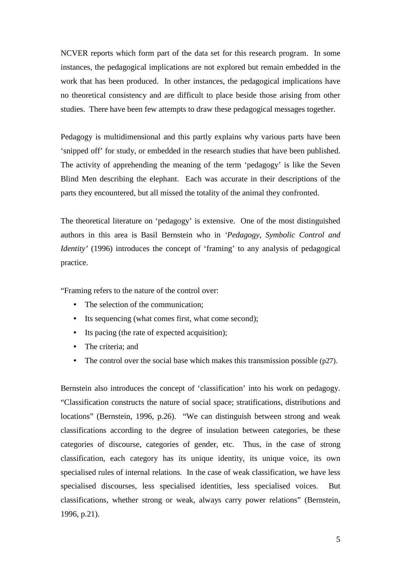NCVER reports which form part of the data set for this research program. In some instances, the pedagogical implications are not explored but remain embedded in the work that has been produced. In other instances, the pedagogical implications have no theoretical consistency and are difficult to place beside those arising from other studies. There have been few attempts to draw these pedagogical messages together.

Pedagogy is multidimensional and this partly explains why various parts have been 'snipped off' for study, or embedded in the research studies that have been published. The activity of apprehending the meaning of the term 'pedagogy' is like the Seven Blind Men describing the elephant. Each was accurate in their descriptions of the parts they encountered, but all missed the totality of the animal they confronted.

The theoretical literature on 'pedagogy' is extensive. One of the most distinguished authors in this area is Basil Bernstein who in *'Pedagogy, Symbolic Control and Identity'* (1996) introduces the concept of 'framing' to any analysis of pedagogical practice.

"Framing refers to the nature of the control over:

- The selection of the communication:
- Its sequencing (what comes first, what come second);
- Its pacing (the rate of expected acquisition);
- The criteria: and
- The control over the social base which makes this transmission possible (p27).

Bernstein also introduces the concept of 'classification' into his work on pedagogy. "Classification constructs the nature of social space; stratifications, distributions and locations" (Bernstein, 1996, p.26). "We can distinguish between strong and weak classifications according to the degree of insulation between categories, be these categories of discourse, categories of gender, etc. Thus, in the case of strong classification, each category has its unique identity, its unique voice, its own specialised rules of internal relations. In the case of weak classification, we have less specialised discourses, less specialised identities, less specialised voices. But classifications, whether strong or weak, always carry power relations" (Bernstein, 1996, p.21).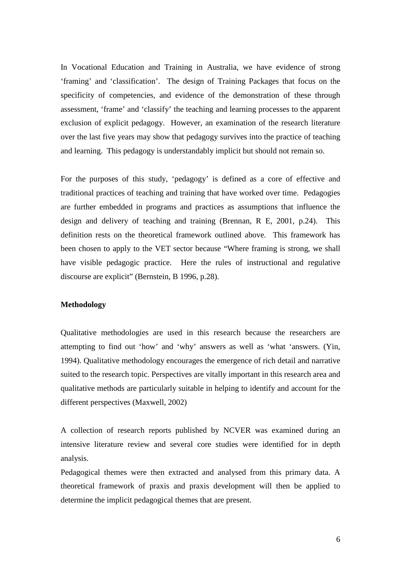In Vocational Education and Training in Australia, we have evidence of strong 'framing' and 'classification'. The design of Training Packages that focus on the specificity of competencies, and evidence of the demonstration of these through assessment, 'frame' and 'classify' the teaching and learning processes to the apparent exclusion of explicit pedagogy. However, an examination of the research literature over the last five years may show that pedagogy survives into the practice of teaching and learning. This pedagogy is understandably implicit but should not remain so.

For the purposes of this study, 'pedagogy' is defined as a core of effective and traditional practices of teaching and training that have worked over time. Pedagogies are further embedded in programs and practices as assumptions that influence the design and delivery of teaching and training (Brennan, R E, 2001, p.24). This definition rests on the theoretical framework outlined above. This framework has been chosen to apply to the VET sector because "Where framing is strong, we shall have visible pedagogic practice. Here the rules of instructional and regulative discourse are explicit" (Bernstein, B 1996, p.28).

#### **Methodology**

Qualitative methodologies are used in this research because the researchers are attempting to find out 'how' and 'why' answers as well as 'what 'answers. (Yin, 1994). Qualitative methodology encourages the emergence of rich detail and narrative suited to the research topic. Perspectives are vitally important in this research area and qualitative methods are particularly suitable in helping to identify and account for the different perspectives (Maxwell, 2002)

A collection of research reports published by NCVER was examined during an intensive literature review and several core studies were identified for in depth analysis.

Pedagogical themes were then extracted and analysed from this primary data. A theoretical framework of praxis and praxis development will then be applied to determine the implicit pedagogical themes that are present.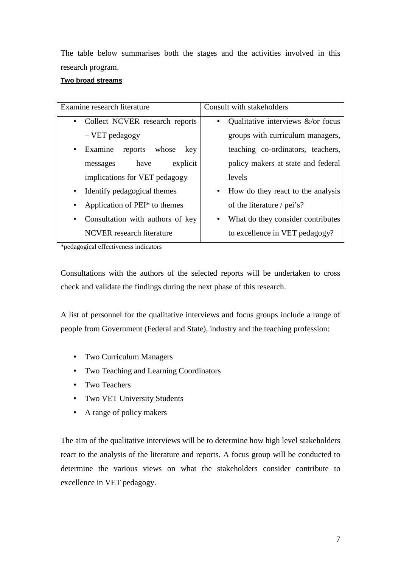The table below summarises both the stages and the activities involved in this research program.

## **Two broad streams**

| Examine research literature                 | Consult with stakeholders                      |
|---------------------------------------------|------------------------------------------------|
| Collect NCVER research reports<br>$\bullet$ | Qualitative interviews $\&$ /or focus          |
| - VET pedagogy                              | groups with curriculum managers,               |
| Examine<br>reports<br>whose<br>key          | teaching co-ordinators, teachers,              |
| explicit<br>have<br>messages                | policy makers at state and federal             |
| implications for VET pedagogy               | levels                                         |
| Identify pedagogical themes<br>$\bullet$    | How do they react to the analysis<br>$\bullet$ |
| Application of PEI <sup>*</sup> to themes   | of the literature / pei's?                     |
| Consultation with authors of key            | What do they consider contributes<br>$\bullet$ |
| NCVER research literature                   | to excellence in VET pedagogy?                 |

\*pedagogical effectiveness indicators

Consultations with the authors of the selected reports will be undertaken to cross check and validate the findings during the next phase of this research.

A list of personnel for the qualitative interviews and focus groups include a range of people from Government (Federal and State), industry and the teaching profession:

- Two Curriculum Managers
- Two Teaching and Learning Coordinators
- Two Teachers
- Two VET University Students
- A range of policy makers

The aim of the qualitative interviews will be to determine how high level stakeholders react to the analysis of the literature and reports. A focus group will be conducted to determine the various views on what the stakeholders consider contribute to excellence in VET pedagogy.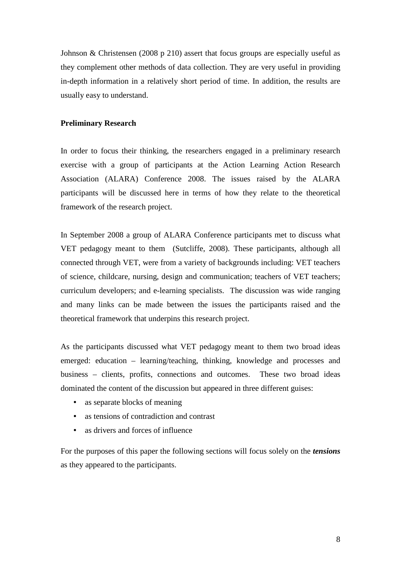Johnson & Christensen (2008 p 210) assert that focus groups are especially useful as they complement other methods of data collection. They are very useful in providing in-depth information in a relatively short period of time. In addition, the results are usually easy to understand.

## **Preliminary Research**

In order to focus their thinking, the researchers engaged in a preliminary research exercise with a group of participants at the Action Learning Action Research Association (ALARA) Conference 2008. The issues raised by the ALARA participants will be discussed here in terms of how they relate to the theoretical framework of the research project.

In September 2008 a group of ALARA Conference participants met to discuss what VET pedagogy meant to them (Sutcliffe, 2008). These participants, although all connected through VET, were from a variety of backgrounds including: VET teachers of science, childcare, nursing, design and communication; teachers of VET teachers; curriculum developers; and e-learning specialists. The discussion was wide ranging and many links can be made between the issues the participants raised and the theoretical framework that underpins this research project.

As the participants discussed what VET pedagogy meant to them two broad ideas emerged: education – learning/teaching, thinking, knowledge and processes and business – clients, profits, connections and outcomes. These two broad ideas dominated the content of the discussion but appeared in three different guises:

- as separate blocks of meaning
- as tensions of contradiction and contrast
- as drivers and forces of influence

For the purposes of this paper the following sections will focus solely on the *tensions*  as they appeared to the participants.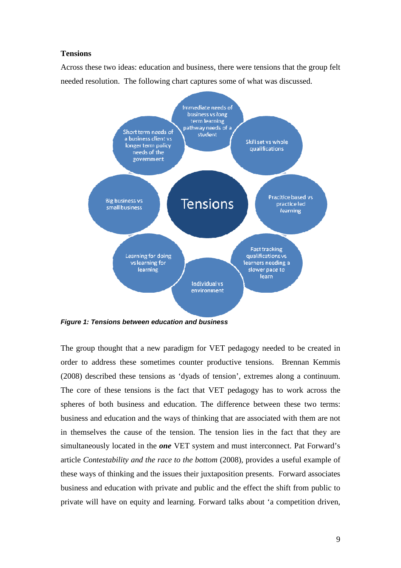#### **Tensions**

Across these two ideas: education and business, there were tensions that the group felt needed resolution. The following chart captures some of what was discussed.



**Figure 1: Tensions between education and business**

The group thought that a new paradigm for VET pedagogy needed to be created in order to address these sometimes counter productive tensions. Brennan Kemmis (2008) described these tensions as 'dyads of tension', extremes along a continuum. The core of these tensions is the fact that VET pedagogy has to work across the spheres of both business and education. The difference between these two terms: business and education and the ways of thinking that are associated with them are not in themselves the cause of the tension. The tension lies in the fact that they are simultaneously located in the *one* VET system and must interconnect. Pat Forward's article *Contestability and the race to the bottom* (2008)*,* provides a useful example of these ways of thinking and the issues their juxtaposition presents. Forward associates business and education with private and public and the effect the shift from public to private will have on equity and learning. Forward talks about 'a competition driven,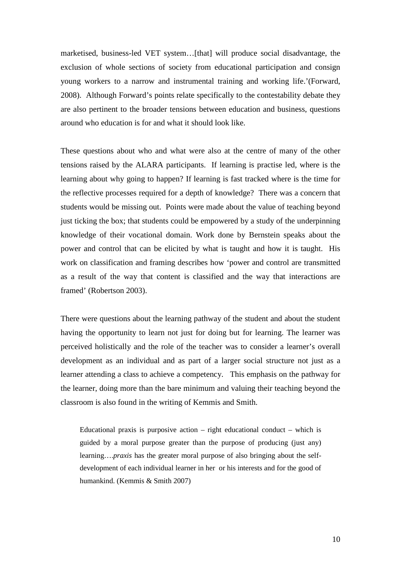marketised, business-led VET system…[that] will produce social disadvantage, the exclusion of whole sections of society from educational participation and consign young workers to a narrow and instrumental training and working life.'(Forward, 2008). Although Forward's points relate specifically to the contestability debate they are also pertinent to the broader tensions between education and business, questions around who education is for and what it should look like.

These questions about who and what were also at the centre of many of the other tensions raised by the ALARA participants. If learning is practise led, where is the learning about why going to happen? If learning is fast tracked where is the time for the reflective processes required for a depth of knowledge? There was a concern that students would be missing out. Points were made about the value of teaching beyond just ticking the box; that students could be empowered by a study of the underpinning knowledge of their vocational domain. Work done by Bernstein speaks about the power and control that can be elicited by what is taught and how it is taught. His work on classification and framing describes how 'power and control are transmitted as a result of the way that content is classified and the way that interactions are framed' (Robertson 2003).

There were questions about the learning pathway of the student and about the student having the opportunity to learn not just for doing but for learning. The learner was perceived holistically and the role of the teacher was to consider a learner's overall development as an individual and as part of a larger social structure not just as a learner attending a class to achieve a competency. This emphasis on the pathway for the learner, doing more than the bare minimum and valuing their teaching beyond the classroom is also found in the writing of Kemmis and Smith.

Educational praxis is purposive action – right educational conduct – which is guided by a moral purpose greater than the purpose of producing (just any) learning….*praxis* has the greater moral purpose of also bringing about the selfdevelopment of each individual learner in her or his interests and for the good of humankind. (Kemmis & Smith 2007)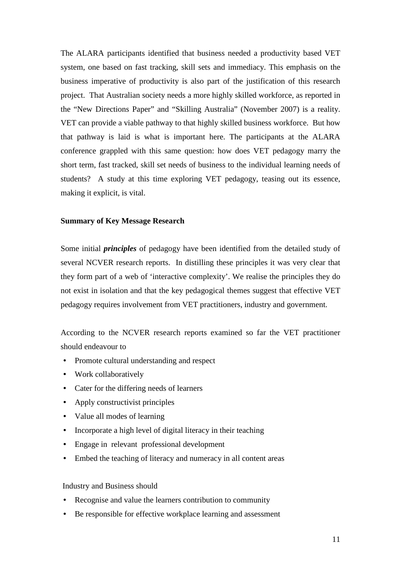The ALARA participants identified that business needed a productivity based VET system, one based on fast tracking, skill sets and immediacy. This emphasis on the business imperative of productivity is also part of the justification of this research project. That Australian society needs a more highly skilled workforce, as reported in the "New Directions Paper" and "Skilling Australia" (November 2007) is a reality. VET can provide a viable pathway to that highly skilled business workforce. But how that pathway is laid is what is important here. The participants at the ALARA conference grappled with this same question: how does VET pedagogy marry the short term, fast tracked, skill set needs of business to the individual learning needs of students? A study at this time exploring VET pedagogy, teasing out its essence, making it explicit, is vital.

## **Summary of Key Message Research**

Some initial *principles* of pedagogy have been identified from the detailed study of several NCVER research reports. In distilling these principles it was very clear that they form part of a web of 'interactive complexity'. We realise the principles they do not exist in isolation and that the key pedagogical themes suggest that effective VET pedagogy requires involvement from VET practitioners, industry and government.

According to the NCVER research reports examined so far the VET practitioner should endeavour to

- Promote cultural understanding and respect
- Work collaboratively
- Cater for the differing needs of learners
- Apply constructivist principles
- Value all modes of learning
- Incorporate a high level of digital literacy in their teaching
- Engage in relevant professional development
- Embed the teaching of literacy and numeracy in all content areas

#### Industry and Business should

- Recognise and value the learners contribution to community
- Be responsible for effective workplace learning and assessment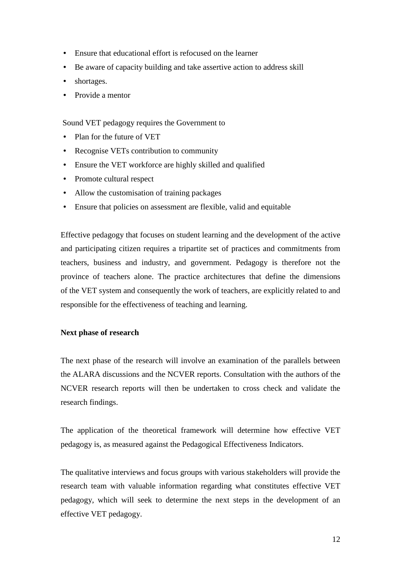- Ensure that educational effort is refocused on the learner
- Be aware of capacity building and take assertive action to address skill
- shortages.
- Provide a mentor

Sound VET pedagogy requires the Government to

- Plan for the future of VET
- Recognise VETs contribution to community
- Ensure the VET workforce are highly skilled and qualified
- Promote cultural respect
- Allow the customisation of training packages
- Ensure that policies on assessment are flexible, valid and equitable

Effective pedagogy that focuses on student learning and the development of the active and participating citizen requires a tripartite set of practices and commitments from teachers, business and industry, and government. Pedagogy is therefore not the province of teachers alone. The practice architectures that define the dimensions of the VET system and consequently the work of teachers, are explicitly related to and responsible for the effectiveness of teaching and learning.

## **Next phase of research**

The next phase of the research will involve an examination of the parallels between the ALARA discussions and the NCVER reports. Consultation with the authors of the NCVER research reports will then be undertaken to cross check and validate the research findings.

The application of the theoretical framework will determine how effective VET pedagogy is, as measured against the Pedagogical Effectiveness Indicators.

The qualitative interviews and focus groups with various stakeholders will provide the research team with valuable information regarding what constitutes effective VET pedagogy, which will seek to determine the next steps in the development of an effective VET pedagogy.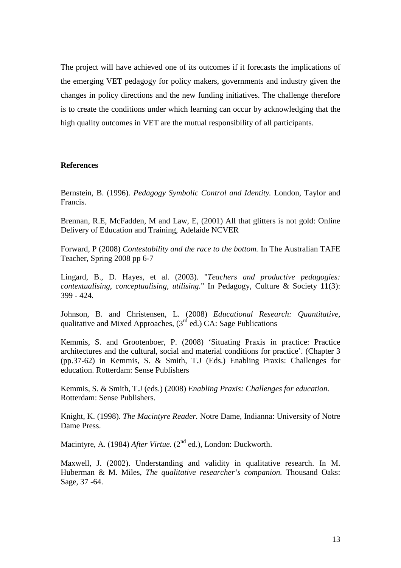The project will have achieved one of its outcomes if it forecasts the implications of the emerging VET pedagogy for policy makers, governments and industry given the changes in policy directions and the new funding initiatives. The challenge therefore is to create the conditions under which learning can occur by acknowledging that the high quality outcomes in VET are the mutual responsibility of all participants.

### **References**

Bernstein, B. (1996). *Pedagogy Symbolic Control and Identity.* London, Taylor and Francis.

Brennan, R.E, McFadden, M and Law, E, (2001) All that glitters is not gold: Online Delivery of Education and Training, Adelaide NCVER

Forward, P (2008) *Contestability and the race to the bottom.* In The Australian TAFE Teacher, Spring 2008 pp 6-7

Lingard, B., D. Hayes, et al. (2003). "*Teachers and productive pedagogies: contextualising, conceptualising, utilising.*" In Pedagogy, Culture & Society **11**(3): 399 - 424.

Johnson, B. and Christensen, L. (2008) *Educational Research: Quantitative,* qualitative and Mixed Approaches,  $(3<sup>rd</sup>$  ed.) CA: Sage Publications

Kemmis, S. and Grootenboer, P. (2008) 'Situating Praxis in practice: Practice architectures and the cultural, social and material conditions for practice'. (Chapter 3 (pp.37-62) in Kemmis, S. & Smith, T.J (Eds.) Enabling Praxis: Challenges for education. Rotterdam: Sense Publishers

Kemmis, S. & Smith, T.J (eds.) (2008) *Enabling Praxis: Challenges for education.*  Rotterdam: Sense Publishers.

Knight, K. (1998). *The Macintyre Reader.* Notre Dame, Indianna: University of Notre Dame Press.

Macintyre, A. (1984) *After Virtue.* (2<sup>nd</sup> ed.), London: Duckworth.

Maxwell, J. (2002). Understanding and validity in qualitative research. In M. Huberman & M. Miles, *The qualitative researcher's companion.* Thousand Oaks: Sage, 37 -64.